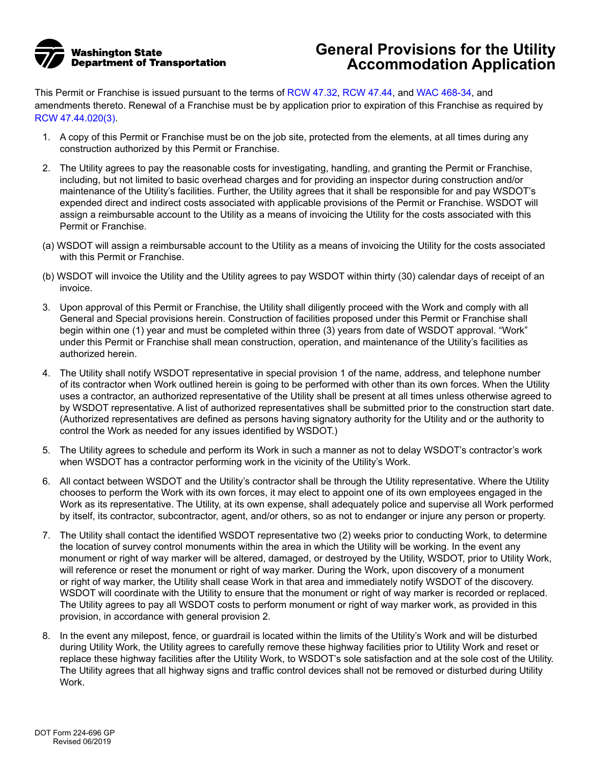

## **General Provisions for the Utility Accommodation Application**

This Permit or Franchise is issued pursuant to the terms of [RCW 47.32](https://app.leg.wa.gov/RCW/default.aspx?cite=47.32), [RCW 47.44,](https://app.leg.wa.gov/RCW/default.aspx?cite=47.44) and [WAC 468-34,](https://apps.leg.wa.gov/WAC/default.aspx?cite=468-34) and amendments thereto. Renewal of a Franchise must be by application prior to expiration of this Franchise as required by [RCW 47.44.020\(3\)](https://app.leg.wa.gov/RCW/default.aspx?cite=47.44.020).

- 1. A copy of this Permit or Franchise must be on the job site, protected from the elements, at all times during any construction authorized by this Permit or Franchise.
- 2. The Utility agrees to pay the reasonable costs for investigating, handling, and granting the Permit or Franchise, including, but not limited to basic overhead charges and for providing an inspector during construction and/or maintenance of the Utility's facilities. Further, the Utility agrees that it shall be responsible for and pay WSDOT's expended direct and indirect costs associated with applicable provisions of the Permit or Franchise. WSDOT will assign a reimbursable account to the Utility as a means of invoicing the Utility for the costs associated with this Permit or Franchise.
- (a) WSDOT will assign a reimbursable account to the Utility as a means of invoicing the Utility for the costs associated with this Permit or Franchise.
- (b) WSDOT will invoice the Utility and the Utility agrees to pay WSDOT within thirty (30) calendar days of receipt of an invoice.
- 3. Upon approval of this Permit or Franchise, the Utility shall diligently proceed with the Work and comply with all General and Special provisions herein. Construction of facilities proposed under this Permit or Franchise shall begin within one (1) year and must be completed within three (3) years from date of WSDOT approval. "Work" under this Permit or Franchise shall mean construction, operation, and maintenance of the Utility's facilities as authorized herein.
- 4. The Utility shall notify WSDOT representative in special provision 1 of the name, address, and telephone number of its contractor when Work outlined herein is going to be performed with other than its own forces. When the Utility uses a contractor, an authorized representative of the Utility shall be present at all times unless otherwise agreed to by WSDOT representative. A list of authorized representatives shall be submitted prior to the construction start date. (Authorized representatives are defined as persons having signatory authority for the Utility and or the authority to control the Work as needed for any issues identified by WSDOT.)
- 5. The Utility agrees to schedule and perform its Work in such a manner as not to delay WSDOT's contractor's work when WSDOT has a contractor performing work in the vicinity of the Utility's Work.
- 6. All contact between WSDOT and the Utility's contractor shall be through the Utility representative. Where the Utility chooses to perform the Work with its own forces, it may elect to appoint one of its own employees engaged in the Work as its representative. The Utility, at its own expense, shall adequately police and supervise all Work performed by itself, its contractor, subcontractor, agent, and/or others, so as not to endanger or injure any person or property.
- 7. The Utility shall contact the identified WSDOT representative two (2) weeks prior to conducting Work, to determine the location of survey control monuments within the area in which the Utility will be working. In the event any monument or right of way marker will be altered, damaged, or destroyed by the Utility, WSDOT, prior to Utility Work, will reference or reset the monument or right of way marker. During the Work, upon discovery of a monument or right of way marker, the Utility shall cease Work in that area and immediately notify WSDOT of the discovery. WSDOT will coordinate with the Utility to ensure that the monument or right of way marker is recorded or replaced. The Utility agrees to pay all WSDOT costs to perform monument or right of way marker work, as provided in this provision, in accordance with general provision 2.
- 8. In the event any milepost, fence, or guardrail is located within the limits of the Utility's Work and will be disturbed during Utility Work, the Utility agrees to carefully remove these highway facilities prior to Utility Work and reset or replace these highway facilities after the Utility Work, to WSDOT's sole satisfaction and at the sole cost of the Utility. The Utility agrees that all highway signs and traffic control devices shall not be removed or disturbed during Utility Work.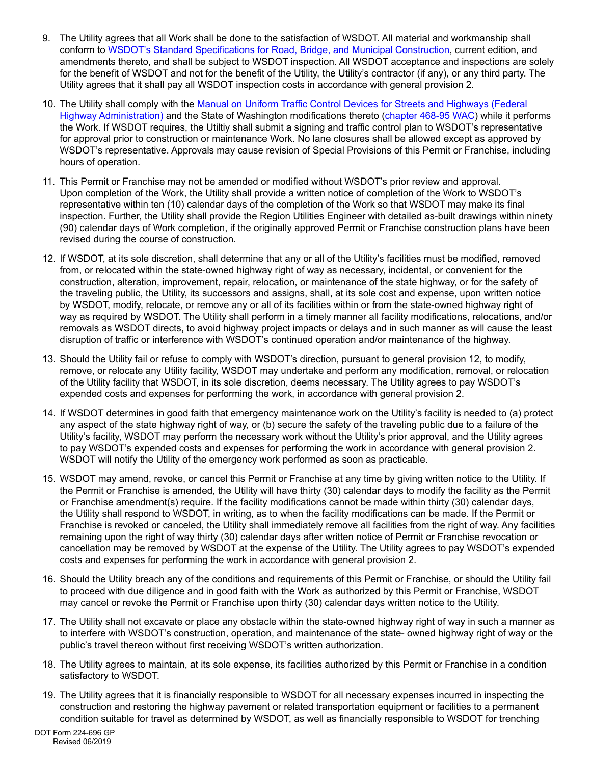- 9. The Utility agrees that all Work shall be done to the satisfaction of WSDOT. All material and workmanship shall conform to [WSDOT's Standard Specifications for Road, Bridge, and Municipal Construction](http://www.wsdot.wa.gov/Publications/Manuals/M41-10.htm), current edition, and amendments thereto, and shall be subject to WSDOT inspection. All WSDOT acceptance and inspections are solely for the benefit of WSDOT and not for the benefit of the Utility, the Utility's contractor (if any), or any third party. The Utility agrees that it shall pay all WSDOT inspection costs in accordance with general provision 2.
- 10. The Utility shall comply with the [Manual on Uniform Traffic Control Devices for Streets and Highways \(Federal](http://www.wsdot.wa.gov/Publications/Manuals/MUTCD.htm)  [Highway Administration\)](http://www.wsdot.wa.gov/Publications/Manuals/MUTCD.htm) and the State of Washington modifications thereto ([chapter 468-95 WAC](https://apps.leg.wa.gov/WAC/default.aspx?cite=468-95)) while it performs the Work. If WSDOT requires, the Utiltiy shall submit a signing and traffic control plan to WSDOT's representative for approval prior to construction or maintenance Work. No lane closures shall be allowed except as approved by WSDOT's representative. Approvals may cause revision of Special Provisions of this Permit or Franchise, including hours of operation.
- 11. This Permit or Franchise may not be amended or modified without WSDOT's prior review and approval. Upon completion of the Work, the Utility shall provide a written notice of completion of the Work to WSDOT's representative within ten (10) calendar days of the completion of the Work so that WSDOT may make its final inspection. Further, the Utility shall provide the Region Utilities Engineer with detailed as-built drawings within ninety (90) calendar days of Work completion, if the originally approved Permit or Franchise construction plans have been revised during the course of construction.
- 12. If WSDOT, at its sole discretion, shall determine that any or all of the Utility's facilities must be modified, removed from, or relocated within the state-owned highway right of way as necessary, incidental, or convenient for the construction, alteration, improvement, repair, relocation, or maintenance of the state highway, or for the safety of the traveling public, the Utility, its successors and assigns, shall, at its sole cost and expense, upon written notice by WSDOT, modify, relocate, or remove any or all of its facilities within or from the state-owned highway right of way as required by WSDOT. The Utility shall perform in a timely manner all facility modifications, relocations, and/or removals as WSDOT directs, to avoid highway project impacts or delays and in such manner as will cause the least disruption of traffic or interference with WSDOT's continued operation and/or maintenance of the highway.
- 13. Should the Utility fail or refuse to comply with WSDOT's direction, pursuant to general provision 12, to modify, remove, or relocate any Utility facility, WSDOT may undertake and perform any modification, removal, or relocation of the Utility facility that WSDOT, in its sole discretion, deems necessary. The Utility agrees to pay WSDOT's expended costs and expenses for performing the work, in accordance with general provision 2.
- 14. If WSDOT determines in good faith that emergency maintenance work on the Utility's facility is needed to (a) protect any aspect of the state highway right of way, or (b) secure the safety of the traveling public due to a failure of the Utility's facility, WSDOT may perform the necessary work without the Utility's prior approval, and the Utility agrees to pay WSDOT's expended costs and expenses for performing the work in accordance with general provision 2. WSDOT will notify the Utility of the emergency work performed as soon as practicable.
- 15. WSDOT may amend, revoke, or cancel this Permit or Franchise at any time by giving written notice to the Utility. If the Permit or Franchise is amended, the Utility will have thirty (30) calendar days to modify the facility as the Permit or Franchise amendment(s) require. If the facility modifications cannot be made within thirty (30) calendar days, the Utility shall respond to WSDOT, in writing, as to when the facility modifications can be made. If the Permit or Franchise is revoked or canceled, the Utility shall immediately remove all facilities from the right of way. Any facilities remaining upon the right of way thirty (30) calendar days after written notice of Permit or Franchise revocation or cancellation may be removed by WSDOT at the expense of the Utility. The Utility agrees to pay WSDOT's expended costs and expenses for performing the work in accordance with general provision 2.
- 16. Should the Utility breach any of the conditions and requirements of this Permit or Franchise, or should the Utility fail to proceed with due diligence and in good faith with the Work as authorized by this Permit or Franchise, WSDOT may cancel or revoke the Permit or Franchise upon thirty (30) calendar days written notice to the Utility.
- 17. The Utility shall not excavate or place any obstacle within the state-owned highway right of way in such a manner as to interfere with WSDOT's construction, operation, and maintenance of the state- owned highway right of way or the public's travel thereon without first receiving WSDOT's written authorization.
- 18. The Utility agrees to maintain, at its sole expense, its facilities authorized by this Permit or Franchise in a condition satisfactory to WSDOT.
- 19. The Utility agrees that it is financially responsible to WSDOT for all necessary expenses incurred in inspecting the construction and restoring the highway pavement or related transportation equipment or facilities to a permanent condition suitable for travel as determined by WSDOT, as well as financially responsible to WSDOT for trenching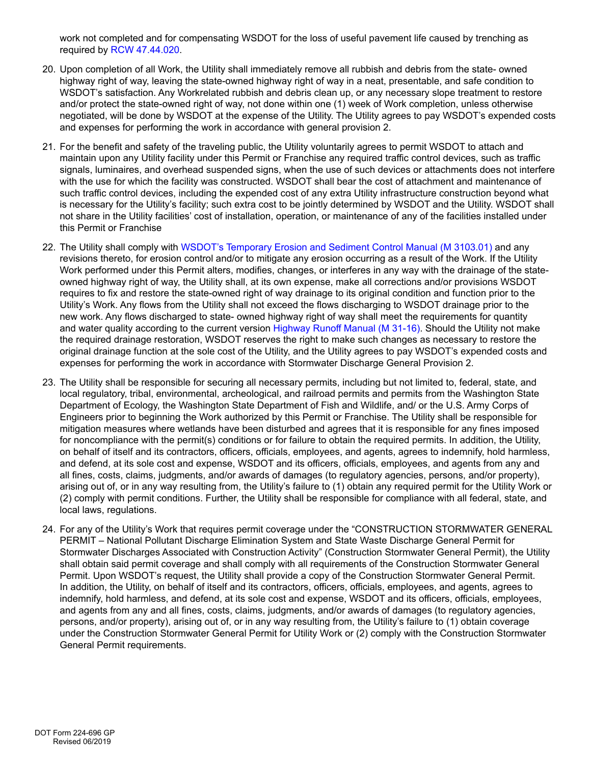work not completed and for compensating WSDOT for the loss of useful pavement life caused by trenching as required by [RCW 47.44.020.](https://app.leg.wa.gov/RCW/default.aspx?cite=47.44.020)

- 20. Upon completion of all Work, the Utility shall immediately remove all rubbish and debris from the state- owned highway right of way, leaving the state-owned highway right of way in a neat, presentable, and safe condition to WSDOT's satisfaction. Any Workrelated rubbish and debris clean up, or any necessary slope treatment to restore and/or protect the state-owned right of way, not done within one (1) week of Work completion, unless otherwise negotiated, will be done by WSDOT at the expense of the Utility. The Utility agrees to pay WSDOT's expended costs and expenses for performing the work in accordance with general provision 2.
- 21. For the benefit and safety of the traveling public, the Utility voluntarily agrees to permit WSDOT to attach and maintain upon any Utility facility under this Permit or Franchise any required traffic control devices, such as traffic signals, luminaires, and overhead suspended signs, when the use of such devices or attachments does not interfere with the use for which the facility was constructed. WSDOT shall bear the cost of attachment and maintenance of such traffic control devices, including the expended cost of any extra Utility infrastructure construction beyond what is necessary for the Utility's facility; such extra cost to be jointly determined by WSDOT and the Utility. WSDOT shall not share in the Utility facilities' cost of installation, operation, or maintenance of any of the facilities installed under this Permit or Franchise
- 22. The Utility shall comply with [WSDOT's Temporary Erosion and Sediment Control Manual \(M 3103.01\)](http://www.wsdot.wa.gov/Publications/Manuals/M3109.htm) and any revisions thereto, for erosion control and/or to mitigate any erosion occurring as a result of the Work. If the Utility Work performed under this Permit alters, modifies, changes, or interferes in any way with the drainage of the stateowned highway right of way, the Utility shall, at its own expense, make all corrections and/or provisions WSDOT requires to fix and restore the state-owned right of way drainage to its original condition and function prior to the Utility's Work. Any flows from the Utility shall not exceed the flows discharging to WSDOT drainage prior to the new work. Any flows discharged to state- owned highway right of way shall meet the requirements for quantity and water quality according to the current version [Highway Runoff Manual \(M 31-16\)](http://www.wsdot.wa.gov/Publications/Manuals/M31-16.htm). Should the Utility not make the required drainage restoration, WSDOT reserves the right to make such changes as necessary to restore the original drainage function at the sole cost of the Utility, and the Utility agrees to pay WSDOT's expended costs and expenses for performing the work in accordance with Stormwater Discharge General Provision 2.
- 23. The Utility shall be responsible for securing all necessary permits, including but not limited to, federal, state, and local regulatory, tribal, environmental, archeological, and railroad permits and permits from the Washington State Department of Ecology, the Washington State Department of Fish and Wildlife, and/ or the U.S. Army Corps of Engineers prior to beginning the Work authorized by this Permit or Franchise. The Utility shall be responsible for mitigation measures where wetlands have been disturbed and agrees that it is responsible for any fines imposed for noncompliance with the permit(s) conditions or for failure to obtain the required permits. In addition, the Utility, on behalf of itself and its contractors, officers, officials, employees, and agents, agrees to indemnify, hold harmless, and defend, at its sole cost and expense, WSDOT and its officers, officials, employees, and agents from any and all fines, costs, claims, judgments, and/or awards of damages (to regulatory agencies, persons, and/or property), arising out of, or in any way resulting from, the Utility's failure to (1) obtain any required permit for the Utility Work or (2) comply with permit conditions. Further, the Utility shall be responsible for compliance with all federal, state, and local laws, regulations.
- 24. For any of the Utility's Work that requires permit coverage under the "CONSTRUCTION STORMWATER GENERAL PERMIT – National Pollutant Discharge Elimination System and State Waste Discharge General Permit for Stormwater Discharges Associated with Construction Activity" (Construction Stormwater General Permit), the Utility shall obtain said permit coverage and shall comply with all requirements of the Construction Stormwater General Permit. Upon WSDOT's request, the Utility shall provide a copy of the Construction Stormwater General Permit. In addition, the Utility, on behalf of itself and its contractors, officers, officials, employees, and agents, agrees to indemnify, hold harmless, and defend, at its sole cost and expense, WSDOT and its officers, officials, employees, and agents from any and all fines, costs, claims, judgments, and/or awards of damages (to regulatory agencies, persons, and/or property), arising out of, or in any way resulting from, the Utility's failure to (1) obtain coverage under the Construction Stormwater General Permit for Utility Work or (2) comply with the Construction Stormwater General Permit requirements.